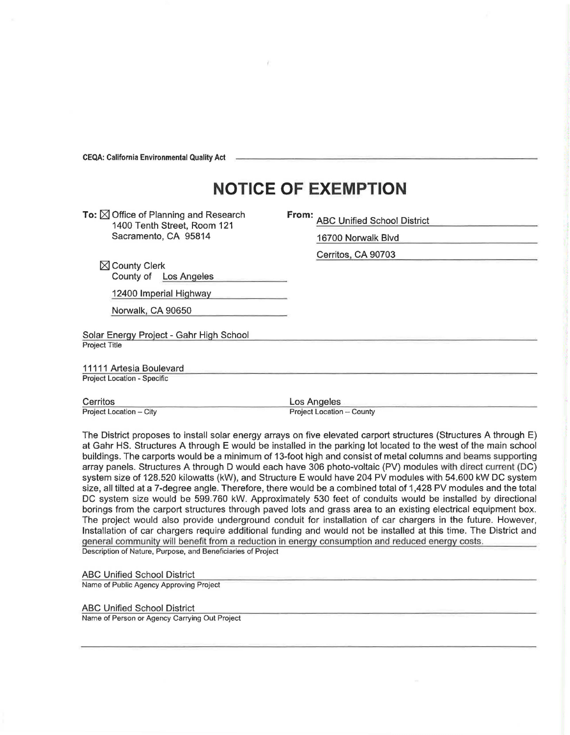CEQA: California Environmental Quality Act

## **NOTICE OF EXEMPTION**

**To:**  $\boxtimes$  Office of Planning and Research 1400 Tenth Street, Room 121 Sacramento, CA 95814

**From:** ABC Unified School District

16700 Norwalk Blvd

Cerritos, CA 90703

 $\boxtimes$  County Clerk County of Los Angeles

12400 Imperial Highway

Norwalk, CA 90650

Solar Energy Project - Gahr High School Project Title

11111 Artesia Boulevard Project Location - Specific

Cerritos Project Location - City Los Angeles

Project Location - County

The District proposes to install solar energy arrays on five elevated carport structures (Structures A through E) at Gahr HS. Structures A through E would be installed in the parking lot located to the west of the main school buildings. The carports would be a minimum of 13-foot high and consist of metal columns and beams supporting array panels. Structures A through D would each have 306 photo-voltaic (PV) modules with direct current (DC) system size of 128.520 kilowatts (kW), and Structure E would have 204 PV modules with 54.600 kW DC system size, all tilted at a ?-degree angle. Therefore, there would be a combined total of 1,428 PV modules and the total DC system size would be 599.760 kW. Approximately 530 feet of conduits would be installed by directional borings from the carport structures through paved lots and grass area to an existing electrical equipment box. The project would also provide underground conduit for installation of car chargers in the future. However, Installation of car chargers require additional funding and would not be installed at this time. The District and general community will benefit from a reduction in energy consumption and reduced energy costs. Description of Nature, Purpose, and Beneficiaries of Project

ABC Unified School District

Name of Public Agency Approving Project

ABC Unified School District

Name of Person or Agency Carrying Out Project